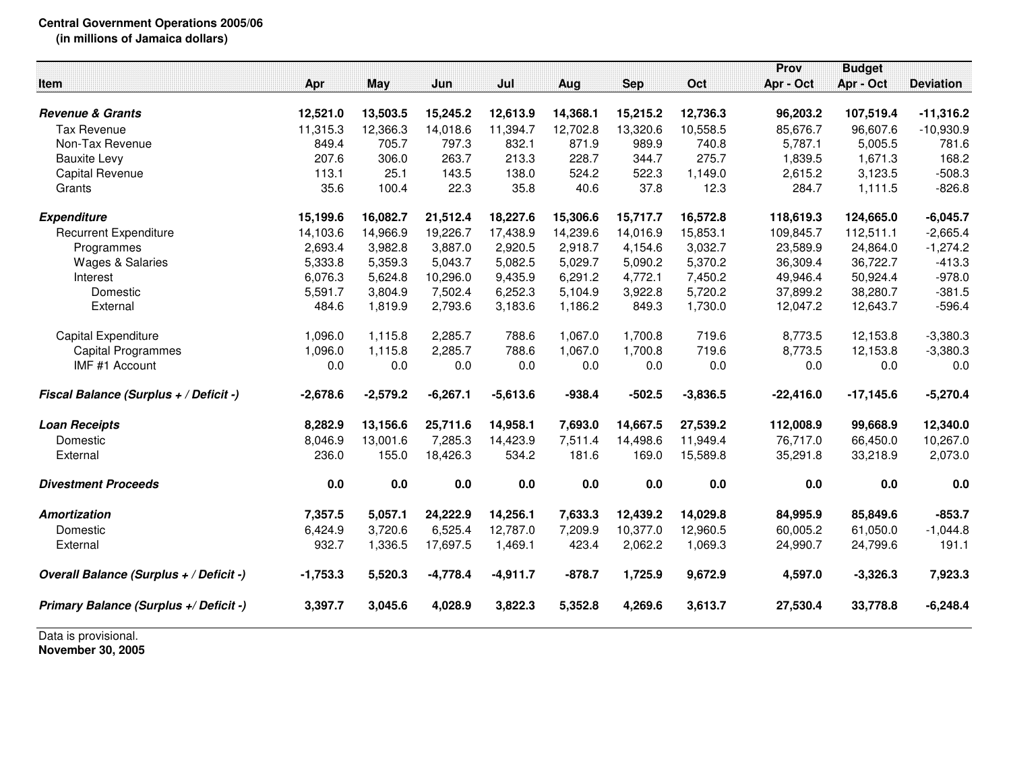## **Central Government Operations 2005/06 (in millions of Jamaica dollars)**

|            |                                                                                     |                                                      |                                                                                        |                                                                             |                                                      |                                                                               | Prov                                                                                   | <b>Budget</b>                                                                                            |                                                                                                                      |
|------------|-------------------------------------------------------------------------------------|------------------------------------------------------|----------------------------------------------------------------------------------------|-----------------------------------------------------------------------------|------------------------------------------------------|-------------------------------------------------------------------------------|----------------------------------------------------------------------------------------|----------------------------------------------------------------------------------------------------------|----------------------------------------------------------------------------------------------------------------------|
| Apr        | May                                                                                 | Jun                                                  | Jul                                                                                    | Aug                                                                         | <b>Sep</b>                                           | Oct                                                                           | Apr - Oct                                                                              | Apr - Oct                                                                                                | <b>Deviation</b>                                                                                                     |
|            |                                                                                     |                                                      |                                                                                        |                                                                             |                                                      |                                                                               |                                                                                        |                                                                                                          |                                                                                                                      |
|            |                                                                                     |                                                      |                                                                                        |                                                                             |                                                      |                                                                               |                                                                                        |                                                                                                          | $-11,316.2$                                                                                                          |
| 11,315.3   | 12,366.3                                                                            | 14,018.6                                             | 11,394.7                                                                               | 12,702.8                                                                    | 13,320.6                                             | 10,558.5                                                                      | 85,676.7                                                                               | 96,607.6                                                                                                 | $-10,930.9$                                                                                                          |
| 849.4      | 705.7                                                                               | 797.3                                                | 832.1                                                                                  | 871.9                                                                       | 989.9                                                | 740.8                                                                         | 5,787.1                                                                                | 5,005.5                                                                                                  | 781.6                                                                                                                |
|            |                                                                                     |                                                      |                                                                                        | 228.7                                                                       | 344.7                                                |                                                                               |                                                                                        |                                                                                                          | 168.2                                                                                                                |
| 113.1      | 25.1                                                                                | 143.5                                                | 138.0                                                                                  | 524.2                                                                       | 522.3                                                | 1,149.0                                                                       | 2,615.2                                                                                | 3,123.5                                                                                                  | $-508.3$                                                                                                             |
| 35.6       | 100.4                                                                               | 22.3                                                 | 35.8                                                                                   | 40.6                                                                        | 37.8                                                 | 12.3                                                                          | 284.7                                                                                  | 1,111.5                                                                                                  | $-826.8$                                                                                                             |
| 15,199.6   | 16,082.7                                                                            | 21,512.4                                             | 18,227.6                                                                               | 15,306.6                                                                    | 15,717.7                                             | 16,572.8                                                                      | 118,619.3                                                                              | 124,665.0                                                                                                | $-6,045.7$                                                                                                           |
| 14,103.6   | 14,966.9                                                                            | 19,226.7                                             | 17,438.9                                                                               | 14,239.6                                                                    | 14,016.9                                             | 15,853.1                                                                      | 109,845.7                                                                              | 112,511.1                                                                                                | $-2,665.4$                                                                                                           |
| 2,693.4    | 3,982.8                                                                             | 3,887.0                                              | 2,920.5                                                                                | 2,918.7                                                                     | 4,154.6                                              | 3,032.7                                                                       | 23,589.9                                                                               | 24,864.0                                                                                                 | $-1,274.2$                                                                                                           |
|            | 5,359.3                                                                             |                                                      | 5,082.5                                                                                | 5,029.7                                                                     |                                                      |                                                                               |                                                                                        |                                                                                                          | $-413.3$                                                                                                             |
|            | 5,624.8                                                                             |                                                      |                                                                                        |                                                                             |                                                      |                                                                               |                                                                                        |                                                                                                          | $-978.0$                                                                                                             |
| 5,591.7    | 3,804.9                                                                             | 7,502.4                                              |                                                                                        | 5,104.9                                                                     |                                                      |                                                                               |                                                                                        |                                                                                                          | $-381.5$                                                                                                             |
| 484.6      | 1,819.9                                                                             | 2,793.6                                              | 3,183.6                                                                                | 1,186.2                                                                     | 849.3                                                | 1,730.0                                                                       | 12,047.2                                                                               | 12,643.7                                                                                                 | $-596.4$                                                                                                             |
| 1,096.0    | 1,115.8                                                                             | 2,285.7                                              | 788.6                                                                                  | 1,067.0                                                                     | 1,700.8                                              | 719.6                                                                         | 8,773.5                                                                                | 12,153.8                                                                                                 | $-3,380.3$                                                                                                           |
| 1,096.0    | 1,115.8                                                                             | 2,285.7                                              | 788.6                                                                                  | 1,067.0                                                                     | 1,700.8                                              | 719.6                                                                         | 8,773.5                                                                                |                                                                                                          | $-3,380.3$                                                                                                           |
| 0.0        | 0.0                                                                                 | 0.0                                                  | 0.0                                                                                    | 0.0                                                                         | 0.0                                                  | 0.0                                                                           | 0.0                                                                                    | 0.0                                                                                                      | 0.0                                                                                                                  |
| $-2,678.6$ | $-2,579.2$                                                                          | $-6,267.1$                                           | $-5,613.6$                                                                             | $-938.4$                                                                    | $-502.5$                                             | $-3,836.5$                                                                    | $-22,416.0$                                                                            | $-17,145.6$                                                                                              | $-5,270.4$                                                                                                           |
|            |                                                                                     |                                                      |                                                                                        |                                                                             |                                                      |                                                                               |                                                                                        |                                                                                                          | 12,340.0                                                                                                             |
|            |                                                                                     |                                                      |                                                                                        |                                                                             |                                                      |                                                                               |                                                                                        |                                                                                                          | 10,267.0                                                                                                             |
| 236.0      | 155.0                                                                               | 18,426.3                                             | 534.2                                                                                  | 181.6                                                                       | 169.0                                                | 15,589.8                                                                      | 35,291.8                                                                               | 33,218.9                                                                                                 | 2,073.0                                                                                                              |
| 0.0        | $0.0\,$                                                                             | 0.0                                                  | 0.0                                                                                    | 0.0                                                                         | 0.0                                                  | 0.0                                                                           | 0.0                                                                                    | 0.0                                                                                                      | 0.0                                                                                                                  |
|            | 5,057.1                                                                             |                                                      | 14,256.1                                                                               | 7,633.3                                                                     | 12,439.2                                             | 14,029.8                                                                      |                                                                                        |                                                                                                          | $-853.7$                                                                                                             |
|            |                                                                                     |                                                      |                                                                                        |                                                                             |                                                      |                                                                               |                                                                                        |                                                                                                          | $-1,044.8$                                                                                                           |
| 932.7      | 1,336.5                                                                             | 17,697.5                                             | 1,469.1                                                                                | 423.4                                                                       | 2,062.2                                              | 1,069.3                                                                       | 24,990.7                                                                               | 24,799.6                                                                                                 | 191.1                                                                                                                |
| $-1,753.3$ | 5,520.3                                                                             | $-4,778.4$                                           | $-4,911.7$                                                                             | $-878.7$                                                                    | 1,725.9                                              | 9,672.9                                                                       | 4,597.0                                                                                | $-3,326.3$                                                                                               | 7,923.3                                                                                                              |
| 3,397.7    | 3,045.6                                                                             | 4,028.9                                              | 3,822.3                                                                                | 5,352.8                                                                     | 4,269.6                                              | 3,613.7                                                                       | 27,530.4                                                                               | 33,778.8                                                                                                 | $-6,248.4$                                                                                                           |
|            | 12,521.0<br>207.6<br>5,333.8<br>6,076.3<br>8,282.9<br>8,046.9<br>7,357.5<br>6,424.9 | 13,503.5<br>306.0<br>13,156.6<br>13,001.6<br>3,720.6 | 15,245.2<br>263.7<br>5,043.7<br>10,296.0<br>25,711.6<br>7,285.3<br>24,222.9<br>6,525.4 | 12,613.9<br>213.3<br>9,435.9<br>6,252.3<br>14,958.1<br>14,423.9<br>12,787.0 | 14,368.1<br>6,291.2<br>7,693.0<br>7,511.4<br>7,209.9 | 15,215.2<br>5,090.2<br>4,772.1<br>3,922.8<br>14,667.5<br>14,498.6<br>10,377.0 | 12,736.3<br>275.7<br>5,370.2<br>7,450.2<br>5,720.2<br>27,539.2<br>11,949.4<br>12,960.5 | 96,203.2<br>1,839.5<br>36,309.4<br>49,946.4<br>37,899.2<br>112,008.9<br>76,717.0<br>84,995.9<br>60,005.2 | 107,519.4<br>1,671.3<br>36,722.7<br>50,924.4<br>38,280.7<br>12,153.8<br>99,668.9<br>66,450.0<br>85,849.6<br>61,050.0 |

Data is provisional. **November 30, 2005**